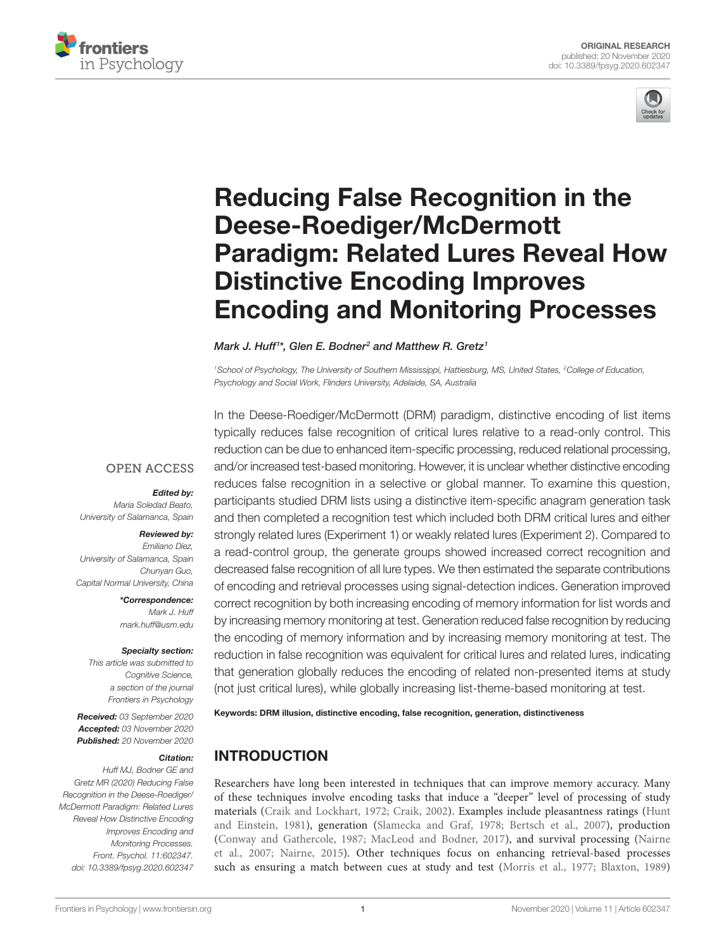



# [Reducing False Recognition in the](https://www.frontiersin.org/articles/10.3389/fpsyg.2020.602347/full)  [Deese-Roediger/McDermott](https://www.frontiersin.org/articles/10.3389/fpsyg.2020.602347/full)  [Paradigm: Related Lures Reveal How](https://www.frontiersin.org/articles/10.3389/fpsyg.2020.602347/full)  [Distinctive Encoding Improves](https://www.frontiersin.org/articles/10.3389/fpsyg.2020.602347/full)  [Encoding and Monitoring Processes](https://www.frontiersin.org/articles/10.3389/fpsyg.2020.602347/full)

#### *Mark J. Huff1 \*, Glen E. Bodner2 and Matthew R. Gretz1*

<sup>1</sup> School of Psychology, The University of Southern Mississippi, Hattiesburg, MS, United States, <sup>2</sup>College of Education, *Psychology and Social Work, Flinders University, Adelaide, SA, Australia*

## **OPEN ACCESS**

#### *Edited by:*

*Maria Soledad Beato, University of Salamanca, Spain*

#### *Reviewed by:*

*Emiliano Díez, University of Salamanca, Spain Chunyan Guo, Capital Normal University, China*

> *\*Correspondence: Mark J. Huff [mark.huff@usm.edu](mailto:mark.huff@usm.edu)*

#### *Specialty section:*

*This article was submitted to Cognitive Science, a section of the journal Frontiers in Psychology*

*Received: 03 September 2020 Accepted: 03 November 2020 Published: 20 November 2020*

#### *Citation:*

*Huff MJ, Bodner GE and Gretz MR (2020) Reducing False Recognition in the Deese-Roediger/ McDermott Paradigm: Related Lures Reveal How Distinctive Encoding Improves Encoding and Monitoring Processes. Front. Psychol. 11:602347. [doi: 10.3389/fpsyg.2020.602347](https://doi.org/10.3389/fpsyg.2020.602347)*

In the Deese-Roediger/McDermott (DRM) paradigm, distinctive encoding of list items typically reduces false recognition of critical lures relative to a read-only control. This reduction can be due to enhanced item-specific processing, reduced relational processing, and/or increased test-based monitoring. However, it is unclear whether distinctive encoding reduces false recognition in a selective or global manner. To examine this question, participants studied DRM lists using a distinctive item-specific anagram generation task and then completed a recognition test which included both DRM critical lures and either strongly related lures (Experiment 1) or weakly related lures (Experiment 2). Compared to a read-control group, the generate groups showed increased correct recognition and decreased false recognition of all lure types. We then estimated the separate contributions of encoding and retrieval processes using signal-detection indices. Generation improved correct recognition by both increasing encoding of memory information for list words and by increasing memory monitoring at test. Generation reduced false recognition by reducing the encoding of memory information and by increasing memory monitoring at test. The reduction in false recognition was equivalent for critical lures and related lures, indicating that generation globally reduces the encoding of related non-presented items at study (not just critical lures), while globally increasing list-theme-based monitoring at test.

Keywords: DRM illusion, distinctive encoding, false recognition, generation, distinctiveness

# INTRODUCTION

Researchers have long been interested in techniques that can improve memory accuracy. Many of these techniques involve encoding tasks that induce a "deeper" level of processing of study materials [\(Craik and Lockhart, 1972](#page-8-0); [Craik, 2002](#page-8-1)). Examples include pleasantness ratings [\(Hunt](#page-8-2)  [and Einstein, 1981\)](#page-8-2), generation ([Slamecka and Graf, 1978](#page-9-0); [Bertsch et al., 2007](#page-8-3)), production [\(Conway and Gathercole, 1987](#page-8-4); [MacLeod and Bodner, 2017](#page-9-1)), and survival processing ([Nairne](#page-9-2)  [et al., 2007](#page-9-2); [Nairne, 2015\)](#page-9-3). Other techniques focus on enhancing retrieval-based processes such as ensuring a match between cues at study and test ([Morris et al., 1977;](#page-9-4) [Blaxton, 1989\)](#page-8-5)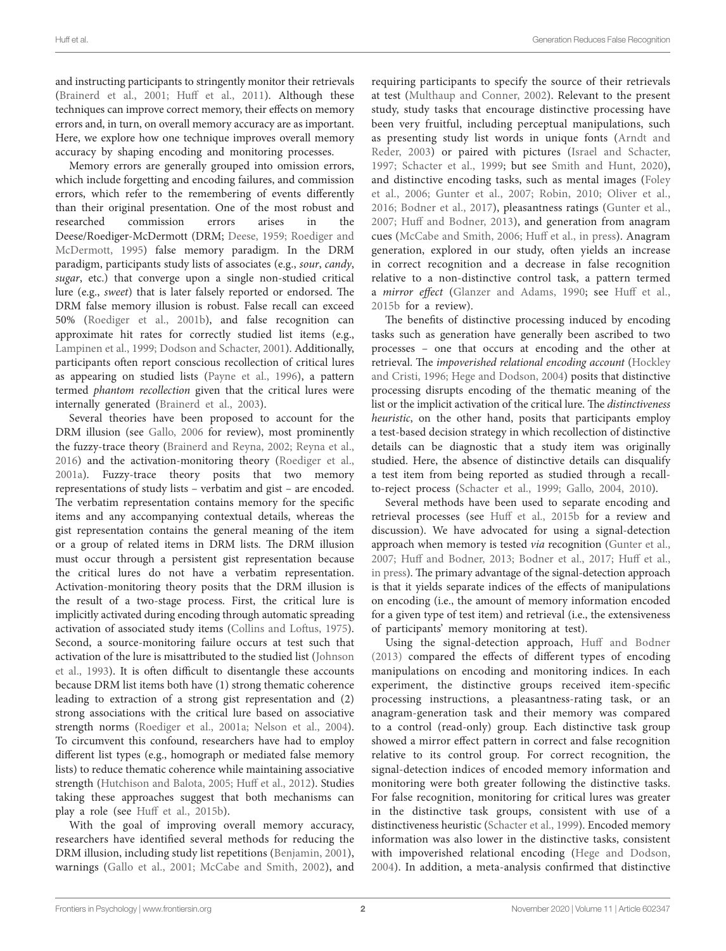and instructing participants to stringently monitor their retrievals ([Brainerd et al., 2001;](#page-8-6) [Huff et al., 2011\)](#page-8-7). Although these techniques can improve correct memory, their effects on memory errors and, in turn, on overall memory accuracy are as important. Here, we explore how one technique improves overall memory accuracy by shaping encoding and monitoring processes.

Memory errors are generally grouped into omission errors, which include forgetting and encoding failures, and commission errors, which refer to the remembering of events differently than their original presentation. One of the most robust and researched commission errors arises in the Deese/Roediger-McDermott (DRM; [Deese, 1959](#page-8-8); [Roediger and](#page-9-5)  [McDermott, 1995](#page-9-5)) false memory paradigm. In the DRM paradigm, participants study lists of associates (e.g., *sour*, *candy*, *sugar*, etc.) that converge upon a single non-studied critical lure (e.g., *sweet*) that is later falsely reported or endorsed. The DRM false memory illusion is robust. False recall can exceed 50% ([Roediger et al., 2001b](#page-9-6)), and false recognition can approximate hit rates for correctly studied list items (e.g., [Lampinen et al., 1999;](#page-9-7) [Dodson and Schacter, 2001](#page-8-9)). Additionally, participants often report conscious recollection of critical lures as appearing on studied lists ([Payne et al., 1996\)](#page-9-8), a pattern termed *phantom recollection* given that the critical lures were internally generated ([Brainerd et al., 2003](#page-8-10)).

Several theories have been proposed to account for the DRM illusion (see [Gallo, 2006](#page-8-11) for review), most prominently the fuzzy-trace theory [\(Brainerd and Reyna, 2002;](#page-8-12) [Reyna et al.,](#page-9-9)  [2016\)](#page-9-9) and the activation-monitoring theory ([Roediger et al.,](#page-9-10)  [2001a\)](#page-9-10). Fuzzy-trace theory posits that two memory representations of study lists – verbatim and gist – are encoded. The verbatim representation contains memory for the specific items and any accompanying contextual details, whereas the gist representation contains the general meaning of the item or a group of related items in DRM lists. The DRM illusion must occur through a persistent gist representation because the critical lures do not have a verbatim representation. Activation-monitoring theory posits that the DRM illusion is the result of a two-stage process. First, the critical lure is implicitly activated during encoding through automatic spreading activation of associated study items ([Collins and Loftus, 1975](#page-8-13)). Second, a source-monitoring failure occurs at test such that activation of the lure is misattributed to the studied list ([Johnson](#page-9-11)  [et al., 1993](#page-9-11)). It is often difficult to disentangle these accounts because DRM list items both have (1) strong thematic coherence leading to extraction of a strong gist representation and (2) strong associations with the critical lure based on associative strength norms ([Roediger et al., 2001a](#page-9-10); [Nelson et al., 2004](#page-9-12)). To circumvent this confound, researchers have had to employ different list types (e.g., homograph or mediated false memory lists) to reduce thematic coherence while maintaining associative strength ([Hutchison and Balota, 2005](#page-9-13); [Huff et al., 2012](#page-8-14)). Studies taking these approaches suggest that both mechanisms can play a role (see [Huff et al., 2015b](#page-8-15)).

With the goal of improving overall memory accuracy, researchers have identified several methods for reducing the DRM illusion, including study list repetitions ([Benjamin, 2001](#page-8-16)), warnings [\(Gallo et al., 2001](#page-8-17); [McCabe and Smith, 2002\)](#page-9-14), and

requiring participants to specify the source of their retrievals at test ([Multhaup and Conner, 2002](#page-9-15)). Relevant to the present study, study tasks that encourage distinctive processing have been very fruitful, including perceptual manipulations, such as presenting study list words in unique fonts ([Arndt and](#page-8-18)  [Reder, 2003](#page-8-18)) or paired with pictures ([Israel and Schacter,](#page-9-16)  [1997](#page-9-16); [Schacter et al., 1999;](#page-9-17) but see [Smith and Hunt, 2020](#page-9-18)), and distinctive encoding tasks, such as mental images ([Foley](#page-8-19)  [et al., 2006;](#page-8-19) [Gunter et al., 2007;](#page-8-20) [Robin, 2010](#page-9-19); [Oliver et al.,](#page-9-20)  [2016](#page-9-20); [Bodner et al., 2017](#page-8-21)), pleasantness ratings ([Gunter et al.,](#page-8-20)  [2007](#page-8-20); [Huff and Bodner, 2013](#page-8-22)), and generation from anagram cues ([McCabe and Smith, 2006](#page-9-21); [Huff et al., in press](#page-8-23)). Anagram generation, explored in our study, often yields an increase in correct recognition and a decrease in false recognition relative to a non-distinctive control task, a pattern termed a *mirror effect* ([Glanzer and Adams, 1990;](#page-8-24) see [Huff et al.,](#page-8-15)  [2015b](#page-8-15) for a review).

The benefits of distinctive processing induced by encoding tasks such as generation have generally been ascribed to two processes – one that occurs at encoding and the other at retrieval. The *impoverished relational encoding account* [\(Hockley](#page-8-25)  [and Cristi, 1996;](#page-8-25) [Hege and Dodson, 2004\)](#page-8-26) posits that distinctive processing disrupts encoding of the thematic meaning of the list or the implicit activation of the critical lure. The *distinctiveness heuristic*, on the other hand, posits that participants employ a test-based decision strategy in which recollection of distinctive details can be diagnostic that a study item was originally studied. Here, the absence of distinctive details can disqualify a test item from being reported as studied through a recallto-reject process ([Schacter et al., 1999](#page-9-17); [Gallo, 2004,](#page-8-27) [2010\)](#page-8-28).

Several methods have been used to separate encoding and retrieval processes (see [Huff et al., 2015b](#page-8-15) for a review and discussion). We have advocated for using a signal-detection approach when memory is tested *via* recognition [\(Gunter et al.,](#page-8-20)  [2007;](#page-8-20) [Huff and Bodner, 2013;](#page-8-22) [Bodner et al., 2017](#page-8-21); [Huff et al.,](#page-8-23)  [in press](#page-8-23)). The primary advantage of the signal-detection approach is that it yields separate indices of the effects of manipulations on encoding (i.e., the amount of memory information encoded for a given type of test item) and retrieval (i.e., the extensiveness of participants' memory monitoring at test).

Using the signal-detection approach, [Huff and Bodner](#page-8-22)  [\(2013\)](#page-8-22) compared the effects of different types of encoding manipulations on encoding and monitoring indices. In each experiment, the distinctive groups received item-specific processing instructions, a pleasantness-rating task, or an anagram-generation task and their memory was compared to a control (read-only) group. Each distinctive task group showed a mirror effect pattern in correct and false recognition relative to its control group. For correct recognition, the signal-detection indices of encoded memory information and monitoring were both greater following the distinctive tasks. For false recognition, monitoring for critical lures was greater in the distinctive task groups, consistent with use of a distinctiveness heuristic [\(Schacter et al., 1999\)](#page-9-17). Encoded memory information was also lower in the distinctive tasks, consistent with impoverished relational encoding ([Hege and Dodson,](#page-8-26)  [2004](#page-8-26)). In addition, a meta-analysis confirmed that distinctive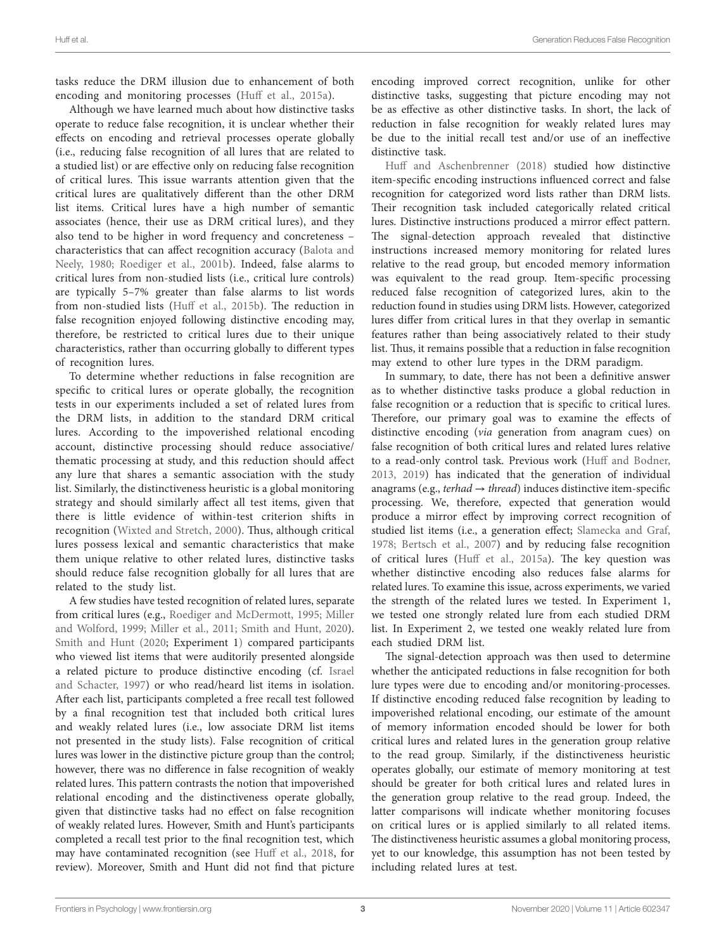tasks reduce the DRM illusion due to enhancement of both encoding and monitoring processes [\(Huff et al., 2015a\)](#page-8-29).

Although we have learned much about how distinctive tasks operate to reduce false recognition, it is unclear whether their effects on encoding and retrieval processes operate globally (i.e., reducing false recognition of all lures that are related to a studied list) or are effective only on reducing false recognition of critical lures. This issue warrants attention given that the critical lures are qualitatively different than the other DRM list items. Critical lures have a high number of semantic associates (hence, their use as DRM critical lures), and they also tend to be higher in word frequency and concreteness – characteristics that can affect recognition accuracy ([Balota and](#page-8-30)  [Neely, 1980;](#page-8-30) [Roediger et al., 2001b\)](#page-9-6). Indeed, false alarms to critical lures from non-studied lists (i.e., critical lure controls) are typically 5–7% greater than false alarms to list words from non-studied lists ([Huff et al., 2015b](#page-8-15)). The reduction in false recognition enjoyed following distinctive encoding may, therefore, be restricted to critical lures due to their unique characteristics, rather than occurring globally to different types of recognition lures.

To determine whether reductions in false recognition are specific to critical lures or operate globally, the recognition tests in our experiments included a set of related lures from the DRM lists, in addition to the standard DRM critical lures. According to the impoverished relational encoding account, distinctive processing should reduce associative/ thematic processing at study, and this reduction should affect any lure that shares a semantic association with the study list. Similarly, the distinctiveness heuristic is a global monitoring strategy and should similarly affect all test items, given that there is little evidence of within-test criterion shifts in recognition [\(Wixted and Stretch, 2000\)](#page-9-22). Thus, although critical lures possess lexical and semantic characteristics that make them unique relative to other related lures, distinctive tasks should reduce false recognition globally for all lures that are related to the study list.

A few studies have tested recognition of related lures, separate from critical lures (e.g., [Roediger and McDermott, 1995;](#page-9-5) [Miller](#page-9-23)  [and Wolford, 1999;](#page-9-23) [Miller et al., 2011;](#page-9-24) [Smith and Hunt, 2020](#page-9-18)). [Smith and Hunt \(2020](#page-9-18); Experiment 1) compared participants who viewed list items that were auditorily presented alongside a related picture to produce distinctive encoding (cf. [Israel](#page-9-16)  [and Schacter, 1997\)](#page-9-16) or who read/heard list items in isolation. After each list, participants completed a free recall test followed by a final recognition test that included both critical lures and weakly related lures (i.e., low associate DRM list items not presented in the study lists). False recognition of critical lures was lower in the distinctive picture group than the control; however, there was no difference in false recognition of weakly related lures. This pattern contrasts the notion that impoverished relational encoding and the distinctiveness operate globally, given that distinctive tasks had no effect on false recognition of weakly related lures. However, Smith and Hunt's participants completed a recall test prior to the final recognition test, which may have contaminated recognition (see [Huff et al., 2018,](#page-8-31) for review). Moreover, Smith and Hunt did not find that picture

encoding improved correct recognition, unlike for other distinctive tasks, suggesting that picture encoding may not be as effective as other distinctive tasks. In short, the lack of reduction in false recognition for weakly related lures may be due to the initial recall test and/or use of an ineffective distinctive task.

[Huff and Aschenbrenner \(2018\)](#page-8-32) studied how distinctive item-specific encoding instructions influenced correct and false recognition for categorized word lists rather than DRM lists. Their recognition task included categorically related critical lures. Distinctive instructions produced a mirror effect pattern. The signal-detection approach revealed that distinctive instructions increased memory monitoring for related lures relative to the read group, but encoded memory information was equivalent to the read group. Item-specific processing reduced false recognition of categorized lures, akin to the reduction found in studies using DRM lists. However, categorized lures differ from critical lures in that they overlap in semantic features rather than being associatively related to their study list. Thus, it remains possible that a reduction in false recognition may extend to other lure types in the DRM paradigm.

In summary, to date, there has not been a definitive answer as to whether distinctive tasks produce a global reduction in false recognition or a reduction that is specific to critical lures. Therefore, our primary goal was to examine the effects of distinctive encoding (*via* generation from anagram cues) on false recognition of both critical lures and related lures relative to a read-only control task. Previous work ([Huff and Bodner,](#page-8-22)  [2013,](#page-8-22) [2019\)](#page-8-33) has indicated that the generation of individual anagrams (e.g., *terhad* → *thread*) induces distinctive item-specific processing. We, therefore, expected that generation would produce a mirror effect by improving correct recognition of studied list items (i.e., a generation effect; [Slamecka and Graf,](#page-9-0)  [1978;](#page-9-0) [Bertsch et al., 2007](#page-8-3)) and by reducing false recognition of critical lures ([Huff et al., 2015a](#page-8-29)). The key question was whether distinctive encoding also reduces false alarms for related lures. To examine this issue, across experiments, we varied the strength of the related lures we tested. In Experiment 1, we tested one strongly related lure from each studied DRM list. In Experiment 2, we tested one weakly related lure from each studied DRM list.

The signal-detection approach was then used to determine whether the anticipated reductions in false recognition for both lure types were due to encoding and/or monitoring-processes. If distinctive encoding reduced false recognition by leading to impoverished relational encoding, our estimate of the amount of memory information encoded should be lower for both critical lures and related lures in the generation group relative to the read group. Similarly, if the distinctiveness heuristic operates globally, our estimate of memory monitoring at test should be greater for both critical lures and related lures in the generation group relative to the read group. Indeed, the latter comparisons will indicate whether monitoring focuses on critical lures or is applied similarly to all related items. The distinctiveness heuristic assumes a global monitoring process, yet to our knowledge, this assumption has not been tested by including related lures at test.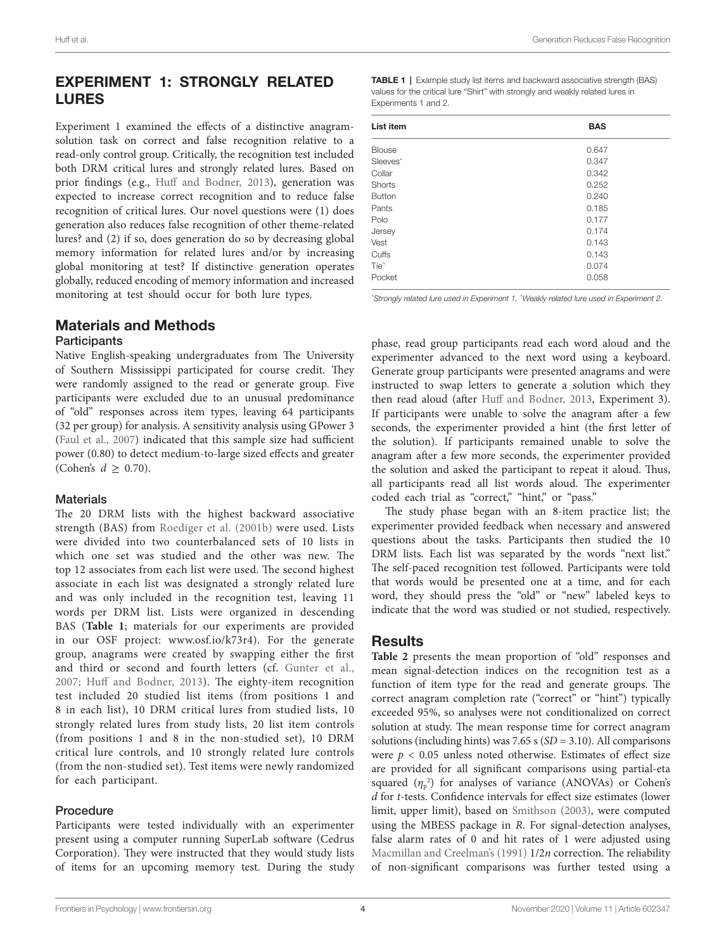# EXPERIMENT 1: STRONGLY RELATED LURES

Experiment 1 examined the effects of a distinctive anagramsolution task on correct and false recognition relative to a read-only control group. Critically, the recognition test included both DRM critical lures and strongly related lures. Based on prior findings (e.g., [Huff and Bodner, 2013](#page-8-22)), generation was expected to increase correct recognition and to reduce false recognition of critical lures. Our novel questions were (1) does generation also reduces false recognition of other theme-related lures? and (2) if so, does generation do so by decreasing global memory information for related lures and/or by increasing global monitoring at test? If distinctive generation operates globally, reduced encoding of memory information and increased monitoring at test should occur for both lure types.

# Materials and Methods

#### **Participants**

Native English-speaking undergraduates from The University of Southern Mississippi participated for course credit. They were randomly assigned to the read or generate group. Five participants were excluded due to an unusual predominance of "old" responses across item types, leaving 64 participants (32 per group) for analysis. A sensitivity analysis using GPower 3 ([Faul et al., 2007\)](#page-8-34) indicated that this sample size had sufficient power (0.80) to detect medium-to-large sized effects and greater (Cohen's  $d \geq 0.70$ ).

## **Materials**

The 20 DRM lists with the highest backward associative strength (BAS) from [Roediger et al. \(2001b\)](#page-9-6) were used. Lists were divided into two counterbalanced sets of 10 lists in which one set was studied and the other was new. The top 12 associates from each list were used. The second highest associate in each list was designated a strongly related lure and was only included in the recognition test, leaving 11 words per DRM list. Lists were organized in descending BAS (**[Table 1](#page-3-0)**; materials for our experiments are provided in our OSF project: [www.osf.io/k73r4\)](http://www.osf.io/k73r4). For the generate group, anagrams were created by swapping either the first and third or second and fourth letters (cf. [Gunter et al.,](#page-8-20)  [2007](#page-8-20); [Huff and Bodner, 2013](#page-8-22)). The eighty-item recognition test included 20 studied list items (from positions 1 and 8 in each list), 10 DRM critical lures from studied lists, 10 strongly related lures from study lists, 20 list item controls (from positions 1 and 8 in the non-studied set), 10 DRM critical lure controls, and 10 strongly related lure controls (from the non-studied set). Test items were newly randomized for each participant.

## Procedure

Participants were tested individually with an experimenter present using a computer running SuperLab software (Cedrus Corporation). They were instructed that they would study lists of items for an upcoming memory test. During the study <span id="page-3-0"></span>**TABLE 1** | Example study list items and backward associative strength (BAS) values for the critical lure "Shirt" with strongly and weakly related lures in Experiments 1 and 2.

| List item        | <b>BAS</b> |  |  |
|------------------|------------|--|--|
| <b>Blouse</b>    | 0.647      |  |  |
| Sleeves*         | 0.347      |  |  |
| Collar           | 0.342      |  |  |
| Shorts           | 0.252      |  |  |
| <b>Button</b>    | 0.240      |  |  |
| Pants            | 0.185      |  |  |
| Polo             | 0.177      |  |  |
| Jersey           | 0.174      |  |  |
| Vest             | 0.143      |  |  |
| Cuffs            | 0.143      |  |  |
| Tie <sup>^</sup> | 0.074      |  |  |
| Pocket           | 0.058      |  |  |

\* *Strongly related lure used in Experiment 1. ^ Weakly related lure used in Experiment 2.*

phase, read group participants read each word aloud and the experimenter advanced to the next word using a keyboard. Generate group participants were presented anagrams and were instructed to swap letters to generate a solution which they then read aloud (after [Huff and Bodner, 2013,](#page-8-22) Experiment 3). If participants were unable to solve the anagram after a few seconds, the experimenter provided a hint (the first letter of the solution). If participants remained unable to solve the anagram after a few more seconds, the experimenter provided the solution and asked the participant to repeat it aloud. Thus, all participants read all list words aloud. The experimenter coded each trial as "correct," "hint," or "pass."

The study phase began with an 8-item practice list; the experimenter provided feedback when necessary and answered questions about the tasks. Participants then studied the 10 DRM lists. Each list was separated by the words "next list." The self-paced recognition test followed. Participants were told that words would be presented one at a time, and for each word, they should press the "old" or "new" labeled keys to indicate that the word was studied or not studied, respectively.

# **Results**

**[Table 2](#page-4-0)** presents the mean proportion of "old" responses and mean signal-detection indices on the recognition test as a function of item type for the read and generate groups. The correct anagram completion rate ("correct" or "hint") typically exceeded 95%, so analyses were not conditionalized on correct solution at study. The mean response time for correct anagram solutions (including hints) was 7.65 s (*SD* = 3.10). All comparisons were  $p < 0.05$  unless noted otherwise. Estimates of effect size are provided for all significant comparisons using partial-eta squared  $(\eta_{\rm p}^2)$  for analyses of variance (ANOVAs) or Cohen's *d* for *t*-tests. Confidence intervals for effect size estimates (lower limit, upper limit), based on [Smithson \(2003\),](#page-9-25) were computed using the MBESS package in *R*. For signal-detection analyses, false alarm rates of 0 and hit rates of 1 were adjusted using [Macmillan and Creelman's \(1991\)](#page-9-26) 1/2*n* correction. The reliability of non-significant comparisons was further tested using a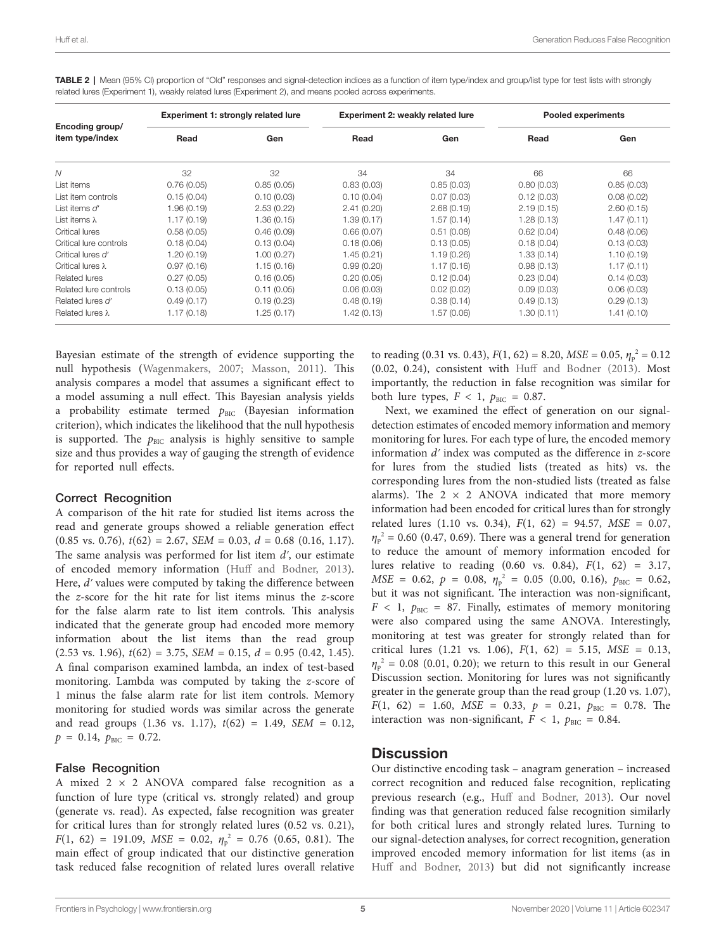| Encoding group/<br>item type/index | Experiment 1: strongly related lure |             | Experiment 2: weakly related lure |             | Pooled experiments |             |
|------------------------------------|-------------------------------------|-------------|-----------------------------------|-------------|--------------------|-------------|
|                                    | Read                                | Gen         | Read                              | Gen         | Read               | Gen         |
| N                                  | 32                                  | 32          | 34                                | 34          | 66                 | 66          |
| List items                         | 0.76(0.05)                          | 0.85(0.05)  | 0.83(0.03)                        | 0.85(0.03)  | 0.80(0.03)         | 0.85(0.03)  |
| List item controls                 | 0.15(0.04)                          | 0.10(0.03)  | 0.10(0.04)                        | 0.07(0.03)  | 0.12(0.03)         | 0.08(0.02)  |
| List items d'                      | 1.96(0.19)                          | 2.53(0.22)  | 2.41(0.20)                        | 2.68(0.19)  | 2.19(0.15)         | 2.60(0.15)  |
| List items $\lambda$               | 1.17(0.19)                          | 1.36 (0.15) | 1.39(0.17)                        | 1.57(0.14)  | 1.28(0.13)         | 1.47(0.11)  |
| <b>Critical lures</b>              | 0.58(0.05)                          | 0.46(0.09)  | 0.66(0.07)                        | 0.51(0.08)  | 0.62(0.04)         | 0.48(0.06)  |
| Critical lure controls             | 0.18(0.04)                          | 0.13(0.04)  | 0.18(0.06)                        | 0.13(0.05)  | 0.18(0.04)         | 0.13(0.03)  |
| Critical lures d'                  | 1.20(0.19)                          | 1.00(0.27)  | 1.45(0.21)                        | 1.19(0.26)  | 1.33(0.14)         | 1.10(0.19)  |
| Critical lures $\lambda$           | 0.97(0.16)                          | 1.15(0.16)  | 0.99(0.20)                        | 1.17(0.16)  | 0.98(0.13)         | 1.17(0.11)  |
| <b>Related lures</b>               | 0.27(0.05)                          | 0.16(0.05)  | 0.20(0.05)                        | 0.12(0.04)  | 0.23(0.04)         | 0.14(0.03)  |
| Related lure controls              | 0.13(0.05)                          | 0.11(0.05)  | 0.06(0.03)                        | 0.02(0.02)  | 0.09(0.03)         | 0.06(0.03)  |
| Related lures d'                   | 0.49(0.17)                          | 0.19(0.23)  | 0.48(0.19)                        | 0.38(0.14)  | 0.49(0.13)         | 0.29(0.13)  |
| Related lures $\lambda$            | 1.17(0.18)                          | 1.25 (0.17) | 1.42(0.13)                        | 1.57 (0.06) | 1.30(0.11)         | 1.41 (0.10) |

<span id="page-4-0"></span>TABLE 2 | Mean (95% CI) proportion of "Old" responses and signal-detection indices as a function of item type/index and group/list type for test lists with strongly related lures (Experiment 1), weakly related lures (Experiment 2), and means pooled across experiments.

Bayesian estimate of the strength of evidence supporting the null hypothesis [\(Wagenmakers, 2007;](#page-9-27) [Masson, 2011](#page-9-28)). This analysis compares a model that assumes a significant effect to a model assuming a null effect. This Bayesian analysis yields a probability estimate termed  $p<sub>BIC</sub>$  (Bayesian information criterion), which indicates the likelihood that the null hypothesis is supported. The  $p<sub>BIC</sub>$  analysis is highly sensitive to sample size and thus provides a way of gauging the strength of evidence for reported null effects.

## Correct Recognition

A comparison of the hit rate for studied list items across the read and generate groups showed a reliable generation effect  $(0.85 \text{ vs. } 0.76), t(62) = 2.67, \text{ SEM} = 0.03, d = 0.68 \ (0.16, 1.17).$ The same analysis was performed for list item *dʹ*, our estimate of encoded memory information ([Huff and Bodner, 2013](#page-8-22)). Here, *dʹ* values were computed by taking the difference between the *z*-score for the hit rate for list items minus the *z*-score for the false alarm rate to list item controls. This analysis indicated that the generate group had encoded more memory information about the list items than the read group  $(2.53 \text{ vs. } 1.96)$ ,  $t(62) = 3.75$ ,  $SEM = 0.15$ ,  $d = 0.95$   $(0.42, 1.45)$ . A final comparison examined lambda, an index of test-based monitoring. Lambda was computed by taking the *z*-score of 1 minus the false alarm rate for list item controls. Memory monitoring for studied words was similar across the generate and read groups (1.36 vs. 1.17), *t*(62) = 1.49, *SEM* = 0.12,  $p = 0.14$ ,  $p_{\text{BIC}} = 0.72$ .

## False Recognition

A mixed  $2 \times 2$  ANOVA compared false recognition as a function of lure type (critical vs. strongly related) and group (generate vs. read). As expected, false recognition was greater for critical lures than for strongly related lures (0.52 vs. 0.21),  $F(1, 62) = 191.09$ ,  $MSE = 0.02$ ,  $\eta_p^2 = 0.76$  (0.65, 0.81). The main effect of group indicated that our distinctive generation task reduced false recognition of related lures overall relative

to reading (0.31 vs. 0.43),  $F(1, 62) = 8.20$ ,  $MSE = 0.05$ ,  $\eta_p^2 = 0.12$ (0.02, 0.24), consistent with [Huff and Bodner \(2013\)](#page-8-22). Most importantly, the reduction in false recognition was similar for both lure types,  $F < 1$ ,  $p_{BIC} = 0.87$ .

Next, we examined the effect of generation on our signaldetection estimates of encoded memory information and memory monitoring for lures. For each type of lure, the encoded memory information *dʹ* index was computed as the difference in *z*-score for lures from the studied lists (treated as hits) vs. the corresponding lures from the non-studied lists (treated as false alarms). The  $2 \times 2$  ANOVA indicated that more memory information had been encoded for critical lures than for strongly related lures (1.10 vs. 0.34), *F*(1, 62) = 94.57, *MSE* = 0.07,  $\eta_p^2$  = 0.60 (0.47, 0.69). There was a general trend for generation to reduce the amount of memory information encoded for lures relative to reading (0.60 vs. 0.84), *F*(1, 62) = 3.17, *MSE* = 0.62,  $p = 0.08$ ,  $\eta_p^2 = 0.05$  (0.00, 0.16),  $p_{BIC} = 0.62$ , but it was not significant. The interaction was non-significant,  $F \leq 1$ ,  $p_{\text{BIC}} = 87$ . Finally, estimates of memory monitoring were also compared using the same ANOVA. Interestingly, monitoring at test was greater for strongly related than for critical lures (1.21 vs. 1.06), *F*(1, 62) = 5.15, *MSE* = 0.13,  $\eta_p^2$  = 0.08 (0.01, 0.20); we return to this result in our General Discussion section. Monitoring for lures was not significantly greater in the generate group than the read group (1.20 vs. 1.07),  $F(1, 62) = 1.60$ ,  $MSE = 0.33$ ,  $p = 0.21$ ,  $p_{BIC} = 0.78$ . The interaction was non-significant,  $F < 1$ ,  $p_{BIC} = 0.84$ .

# **Discussion**

Our distinctive encoding task – anagram generation – increased correct recognition and reduced false recognition, replicating previous research (e.g., [Huff and Bodner, 2013\)](#page-8-22). Our novel finding was that generation reduced false recognition similarly for both critical lures and strongly related lures. Turning to our signal-detection analyses, for correct recognition, generation improved encoded memory information for list items (as in [Huff and Bodner, 2013](#page-8-22)) but did not significantly increase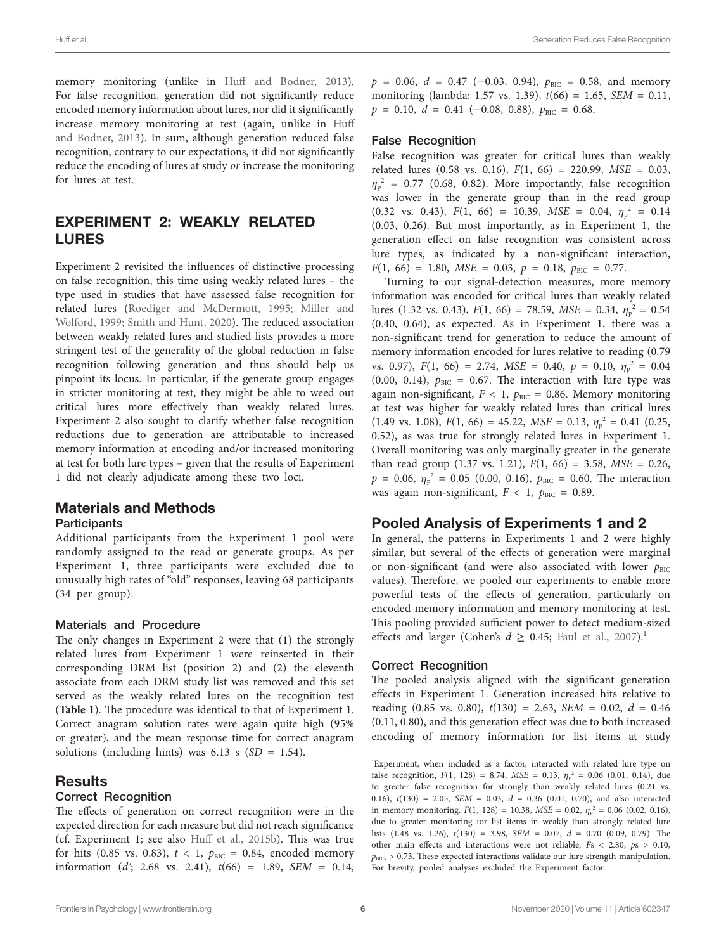memory monitoring (unlike in [Huff and Bodner, 2013](#page-8-22)). For false recognition, generation did not significantly reduce encoded memory information about lures, nor did it significantly increase memory monitoring at test (again, unlike in [Huff](#page-8-22)  [and Bodner, 2013](#page-8-22)). In sum, although generation reduced false recognition, contrary to our expectations, it did not significantly reduce the encoding of lures at study *or* increase the monitoring for lures at test.

# EXPERIMENT 2: WEAKLY RELATED LURES

Experiment 2 revisited the influences of distinctive processing on false recognition, this time using weakly related lures – the type used in studies that have assessed false recognition for related lures [\(Roediger and McDermott, 1995](#page-9-5); [Miller and](#page-9-23)  [Wolford, 1999;](#page-9-23) [Smith and Hunt, 2020](#page-9-18)). The reduced association between weakly related lures and studied lists provides a more stringent test of the generality of the global reduction in false recognition following generation and thus should help us pinpoint its locus. In particular, if the generate group engages in stricter monitoring at test, they might be able to weed out critical lures more effectively than weakly related lures. Experiment 2 also sought to clarify whether false recognition reductions due to generation are attributable to increased memory information at encoding and/or increased monitoring at test for both lure types – given that the results of Experiment 1 did not clearly adjudicate among these two loci.

# Materials and Methods

#### **Participants**

Additional participants from the Experiment 1 pool were randomly assigned to the read or generate groups. As per Experiment 1, three participants were excluded due to unusually high rates of "old" responses, leaving 68 participants (34 per group).

#### Materials and Procedure

The only changes in Experiment 2 were that (1) the strongly related lures from Experiment 1 were reinserted in their corresponding DRM list (position 2) and (2) the eleventh associate from each DRM study list was removed and this set served as the weakly related lures on the recognition test (**[Table 1](#page-3-0)**). The procedure was identical to that of Experiment 1. Correct anagram solution rates were again quite high (95% or greater), and the mean response time for correct anagram solutions (including hints) was  $6.13 \text{ s}$  (*SD* = 1.54).

# Results

## Correct Recognition

The effects of generation on correct recognition were in the expected direction for each measure but did not reach significance (cf. Experiment 1; see also [Huff et al., 2015b\)](#page-8-15). This was true for hits (0.85 vs. 0.83),  $t < 1$ ,  $p_{BIC} = 0.84$ , encoded memory information (*dʹ*; 2.68 vs. 2.41), *t*(66) = 1.89, *SEM* = 0.14,  $p = 0.06$ ,  $d = 0.47$  (-0.03, 0.94),  $p_{\text{BIC}} = 0.58$ , and memory monitoring (lambda; 1.57 vs. 1.39), *t*(66) = 1.65, *SEM* = 0.11,  $p = 0.10, d = 0.41$  (−0.08, 0.88),  $p_{\text{BIC}} = 0.68$ .

#### False Recognition

False recognition was greater for critical lures than weakly related lures (0.58 vs. 0.16), *F*(1, 66) = 220.99, *MSE* = 0.03,  $\eta_p^2$  = 0.77 (0.68, 0.82). More importantly, false recognition was lower in the generate group than in the read group (0.32 vs. 0.43),  $F(1, 66) = 10.39$ ,  $MSE = 0.04$ ,  $\eta_p^2 = 0.14$ (0.03, 0.26). But most importantly, as in Experiment 1, the generation effect on false recognition was consistent across lure types, as indicated by a non-significant interaction,  $F(1, 66) = 1.80$ , *MSE* = 0.03,  $p = 0.18$ ,  $p_{BIC} = 0.77$ .

Turning to our signal-detection measures, more memory information was encoded for critical lures than weakly related lures (1.32 vs. 0.43),  $F(1, 66) = 78.59$ ,  $MSE = 0.34$ ,  $\eta_p^2 = 0.54$ (0.40, 0.64), as expected. As in Experiment 1, there was a non-significant trend for generation to reduce the amount of memory information encoded for lures relative to reading (0.79 vs. 0.97),  $F(1, 66) = 2.74$ ,  $MSE = 0.40$ ,  $p = 0.10$ ,  $\eta_p^2 = 0.04$ (0.00, 0.14),  $p_{BIC} = 0.67$ . The interaction with lure type was again non-significant,  $F < 1$ ,  $p_{BIC} = 0.86$ . Memory monitoring at test was higher for weakly related lures than critical lures  $(1.49 \text{ vs. } 1.08), F(1, 66) = 45.22, MSE = 0.13, \eta_p^2 = 0.41 (0.25,$ 0.52), as was true for strongly related lures in Experiment 1. Overall monitoring was only marginally greater in the generate than read group  $(1.37 \text{ vs. } 1.21)$ ,  $F(1, 66) = 3.58$ ,  $MSE = 0.26$ ,  $p = 0.06, \eta_{p}^{2} = 0.05$  (0.00, 0.16),  $p_{BIC} = 0.60$ . The interaction was again non-significant,  $F < 1$ ,  $p_{\text{BIC}} = 0.89$ .

# Pooled Analysis of Experiments 1 and 2

In general, the patterns in Experiments 1 and 2 were highly similar, but several of the effects of generation were marginal or non-significant (and were also associated with lower  $p_{\text{BIC}}$ ) values). Therefore, we pooled our experiments to enable more powerful tests of the effects of generation, particularly on encoded memory information and memory monitoring at test. This pooling provided sufficient power to detect medium-sized effects and larger (Cohen's  $d \ge 0.45$ ; Faul et al., 2007).<sup>[1](#page-5-0)</sup>

## Correct Recognition

The pooled analysis aligned with the significant generation effects in Experiment 1. Generation increased hits relative to reading (0.85 vs. 0.80),  $t(130) = 2.63$ , *SEM* = 0.02,  $d = 0.46$ (0.11, 0.80), and this generation effect was due to both increased encoding of memory information for list items at study

<span id="page-5-0"></span><sup>1</sup> Experiment, when included as a factor, interacted with related lure type on false recognition,  $F(1, 128) = 8.74$ ,  $MSE = 0.13$ ,  $\eta_p^2 = 0.06$  (0.01, 0.14), due to greater false recognition for strongly than weakly related lures (0.21 vs. 0.16),  $t(130) = 2.05$ ,  $SEM = 0.03$ ,  $d = 0.36$  (0.01, 0.70), and also interacted in memory monitoring,  $F(1, 128) = 10.38$ ,  $MSE = 0.02$ ,  $\eta_p^2 = 0.06$  (0.02, 0.16), due to greater monitoring for list items in weakly than strongly related lure lists (1.48 vs. 1.26), *t*(130) = 3.98, *SEM* = 0.07, *d* = 0.70 (0.09, 0.79). The other main effects and interactions were not reliable, *F*s < 2.80, *p*s > 0.10,  $p_{\text{BICs}} > 0.73$ . These expected interactions validate our lure strength manipulation. For brevity, pooled analyses excluded the Experiment factor.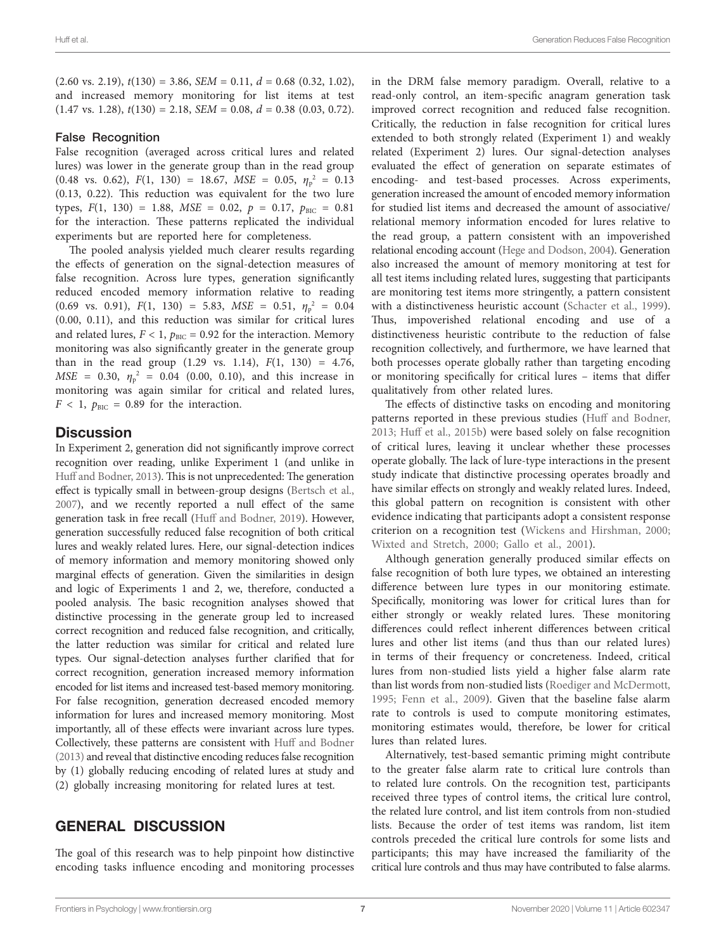$(2.60 \text{ vs. } 2.19)$ ,  $t(130) = 3.86$ , *SEM* = 0.11,  $d = 0.68$  (0.32, 1.02), and increased memory monitoring for list items at test  $(1.47 \text{ vs. } 1.28), t(130) = 2.18, SEM = 0.08, d = 0.38 (0.03, 0.72).$ 

#### False Recognition

False recognition (averaged across critical lures and related lures) was lower in the generate group than in the read group  $(0.48 \text{ vs. } 0.62), F(1, 130) = 18.67, MSE = 0.05, \eta_p^2 = 0.13$ (0.13, 0.22). This reduction was equivalent for the two lure types,  $F(1, 130) = 1.88$ ,  $MSE = 0.02$ ,  $p = 0.17$ ,  $p_{BIC} = 0.81$ for the interaction. These patterns replicated the individual experiments but are reported here for completeness.

The pooled analysis yielded much clearer results regarding the effects of generation on the signal-detection measures of false recognition. Across lure types, generation significantly reduced encoded memory information relative to reading  $(0.69 \text{ vs. } 0.91)$ ,  $F(1, 130) = 5.83$ ,  $MSE = 0.51$ ,  $\eta_p^2 = 0.04$ (0.00, 0.11), and this reduction was similar for critical lures and related lures,  $F < 1$ ,  $p_{\text{BIC}} = 0.92$  for the interaction. Memory monitoring was also significantly greater in the generate group than in the read group  $(1.29 \text{ vs. } 1.14)$ ,  $F(1, 130) = 4.76$ , *MSE* = 0.30,  $\eta_p^2$  = 0.04 (0.00, 0.10), and this increase in monitoring was again similar for critical and related lures,  $F < 1$ ,  $p_{BIC} = 0.89$  for the interaction.

# **Discussion**

In Experiment 2, generation did not significantly improve correct recognition over reading, unlike Experiment 1 (and unlike in [Huff and Bodner, 2013](#page-8-22)). This is not unprecedented: The generation effect is typically small in between-group designs ([Bertsch et al.,](#page-8-3)  [2007](#page-8-3)), and we recently reported a null effect of the same generation task in free recall ([Huff and Bodner, 2019](#page-8-33)). However, generation successfully reduced false recognition of both critical lures and weakly related lures. Here, our signal-detection indices of memory information and memory monitoring showed only marginal effects of generation. Given the similarities in design and logic of Experiments 1 and 2, we, therefore, conducted a pooled analysis. The basic recognition analyses showed that distinctive processing in the generate group led to increased correct recognition and reduced false recognition, and critically, the latter reduction was similar for critical and related lure types. Our signal-detection analyses further clarified that for correct recognition, generation increased memory information encoded for list items and increased test-based memory monitoring. For false recognition, generation decreased encoded memory information for lures and increased memory monitoring. Most importantly, all of these effects were invariant across lure types. Collectively, these patterns are consistent with [Huff and Bodner](#page-8-22)  [\(2013\)](#page-8-22) and reveal that distinctive encoding reduces false recognition by (1) globally reducing encoding of related lures at study and (2) globally increasing monitoring for related lures at test.

# GENERAL DISCUSSION

The goal of this research was to help pinpoint how distinctive encoding tasks influence encoding and monitoring processes in the DRM false memory paradigm. Overall, relative to a read-only control, an item-specific anagram generation task improved correct recognition and reduced false recognition. Critically, the reduction in false recognition for critical lures extended to both strongly related (Experiment 1) and weakly related (Experiment 2) lures. Our signal-detection analyses evaluated the effect of generation on separate estimates of encoding- and test-based processes. Across experiments, generation increased the amount of encoded memory information for studied list items and decreased the amount of associative/ relational memory information encoded for lures relative to the read group, a pattern consistent with an impoverished relational encoding account [\(Hege and Dodson, 2004\)](#page-8-26). Generation also increased the amount of memory monitoring at test for all test items including related lures, suggesting that participants are monitoring test items more stringently, a pattern consistent with a distinctiveness heuristic account ([Schacter et al., 1999](#page-9-17)). Thus, impoverished relational encoding and use of a distinctiveness heuristic contribute to the reduction of false recognition collectively, and furthermore, we have learned that both processes operate globally rather than targeting encoding or monitoring specifically for critical lures – items that differ qualitatively from other related lures.

The effects of distinctive tasks on encoding and monitoring patterns reported in these previous studies ([Huff and Bodner,](#page-8-22)  [2013;](#page-8-22) [Huff et al., 2015b\)](#page-8-15) were based solely on false recognition of critical lures, leaving it unclear whether these processes operate globally. The lack of lure-type interactions in the present study indicate that distinctive processing operates broadly and have similar effects on strongly and weakly related lures. Indeed, this global pattern on recognition is consistent with other evidence indicating that participants adopt a consistent response criterion on a recognition test ([Wickens and Hirshman, 2000;](#page-9-29) [Wixted and Stretch, 2000;](#page-9-22) [Gallo et al., 2001\)](#page-8-17).

Although generation generally produced similar effects on false recognition of both lure types, we obtained an interesting difference between lure types in our monitoring estimate. Specifically, monitoring was lower for critical lures than for either strongly or weakly related lures. These monitoring differences could reflect inherent differences between critical lures and other list items (and thus than our related lures) in terms of their frequency or concreteness. Indeed, critical lures from non-studied lists yield a higher false alarm rate than list words from non-studied lists ([Roediger and McDermott,](#page-9-5)  [1995;](#page-9-5) Fenn et al., 2009). Given that the baseline false alarm rate to controls is used to compute monitoring estimates, monitoring estimates would, therefore, be lower for critical lures than related lures.

Alternatively, test-based semantic priming might contribute to the greater false alarm rate to critical lure controls than to related lure controls. On the recognition test, participants received three types of control items, the critical lure control, the related lure control, and list item controls from non-studied lists. Because the order of test items was random, list item controls preceded the critical lure controls for some lists and participants; this may have increased the familiarity of the critical lure controls and thus may have contributed to false alarms.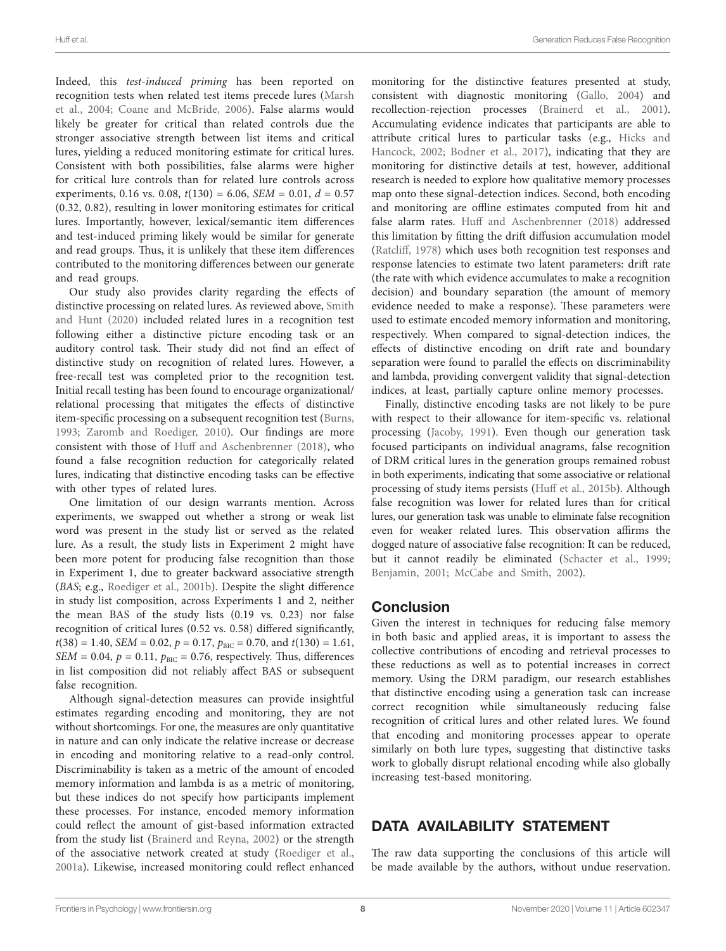Indeed, this *test-induced priming* has been reported on recognition tests when related test items precede lures ([Marsh](#page-9-30)  [et al., 2004;](#page-9-30) [Coane and McBride, 2006](#page-8-36)). False alarms would likely be greater for critical than related controls due the stronger associative strength between list items and critical lures, yielding a reduced monitoring estimate for critical lures. Consistent with both possibilities, false alarms were higher for critical lure controls than for related lure controls across experiments, 0.16 vs. 0.08,  $t(130) = 6.06$ , *SEM* = 0.01,  $d = 0.57$ (0.32, 0.82), resulting in lower monitoring estimates for critical lures. Importantly, however, lexical/semantic item differences and test-induced priming likely would be similar for generate and read groups. Thus, it is unlikely that these item differences contributed to the monitoring differences between our generate and read groups.

Our study also provides clarity regarding the effects of distinctive processing on related lures. As reviewed above, [Smith](#page-9-18)  [and Hunt \(2020\)](#page-9-18) included related lures in a recognition test following either a distinctive picture encoding task or an auditory control task. Their study did not find an effect of distinctive study on recognition of related lures. However, a free-recall test was completed prior to the recognition test. Initial recall testing has been found to encourage organizational/ relational processing that mitigates the effects of distinctive item-specific processing on a subsequent recognition test ([Burns,](#page-8-37)  [1993;](#page-8-37) [Zaromb and Roediger, 2010\)](#page-9-31). Our findings are more consistent with those of [Huff and Aschenbrenner \(2018\)](#page-8-32), who found a false recognition reduction for categorically related lures, indicating that distinctive encoding tasks can be effective with other types of related lures.

One limitation of our design warrants mention. Across experiments, we swapped out whether a strong or weak list word was present in the study list or served as the related lure. As a result, the study lists in Experiment 2 might have been more potent for producing false recognition than those in Experiment 1, due to greater backward associative strength (*BAS*; e.g., [Roediger et al., 2001b](#page-9-6)). Despite the slight difference in study list composition, across Experiments 1 and 2, neither the mean BAS of the study lists (0.19 vs. 0.23) nor false recognition of critical lures (0.52 vs. 0.58) differed significantly,  $t(38) = 1.40$ , *SEM* = 0.02,  $p = 0.17$ ,  $p_{BIC} = 0.70$ , and  $t(130) = 1.61$ , *SEM* = 0.04,  $p = 0.11$ ,  $p_{BIC} = 0.76$ , respectively. Thus, differences in list composition did not reliably affect BAS or subsequent false recognition.

Although signal-detection measures can provide insightful estimates regarding encoding and monitoring, they are not without shortcomings. For one, the measures are only quantitative in nature and can only indicate the relative increase or decrease in encoding and monitoring relative to a read-only control. Discriminability is taken as a metric of the amount of encoded memory information and lambda is as a metric of monitoring, but these indices do not specify how participants implement these processes. For instance, encoded memory information could reflect the amount of gist-based information extracted from the study list [\(Brainerd and Reyna, 2002\)](#page-8-12) or the strength of the associative network created at study ([Roediger et al.,](#page-9-10)  [2001a\)](#page-9-10). Likewise, increased monitoring could reflect enhanced monitoring for the distinctive features presented at study, consistent with diagnostic monitoring [\(Gallo, 2004\)](#page-8-27) and recollection-rejection processes [\(Brainerd et al., 2001](#page-8-6)). Accumulating evidence indicates that participants are able to attribute critical lures to particular tasks (e.g., [Hicks and](#page-8-38)  [Hancock, 2002](#page-8-38); [Bodner et al., 2017\)](#page-8-21), indicating that they are monitoring for distinctive details at test, however, additional research is needed to explore how qualitative memory processes map onto these signal-detection indices. Second, both encoding and monitoring are offline estimates computed from hit and false alarm rates. [Huff and Aschenbrenner \(2018\)](#page-8-32) addressed this limitation by fitting the drift diffusion accumulation model [\(Ratcliff, 1978\)](#page-9-32) which uses both recognition test responses and response latencies to estimate two latent parameters: drift rate (the rate with which evidence accumulates to make a recognition decision) and boundary separation (the amount of memory evidence needed to make a response). These parameters were used to estimate encoded memory information and monitoring, respectively. When compared to signal-detection indices, the effects of distinctive encoding on drift rate and boundary separation were found to parallel the effects on discriminability and lambda, providing convergent validity that signal-detection indices, at least, partially capture online memory processes.

Finally, distinctive encoding tasks are not likely to be pure with respect to their allowance for item-specific vs. relational processing ([Jacoby, 1991](#page-9-33)). Even though our generation task focused participants on individual anagrams, false recognition of DRM critical lures in the generation groups remained robust in both experiments, indicating that some associative or relational processing of study items persists [\(Huff et al., 2015b](#page-8-15)). Although false recognition was lower for related lures than for critical lures, our generation task was unable to eliminate false recognition even for weaker related lures. This observation affirms the dogged nature of associative false recognition: It can be reduced, but it cannot readily be eliminated [\(Schacter et al., 1999;](#page-9-17) [Benjamin, 2001](#page-8-16); [McCabe and Smith, 2002\)](#page-9-14).

# Conclusion

Given the interest in techniques for reducing false memory in both basic and applied areas, it is important to assess the collective contributions of encoding and retrieval processes to these reductions as well as to potential increases in correct memory. Using the DRM paradigm, our research establishes that distinctive encoding using a generation task can increase correct recognition while simultaneously reducing false recognition of critical lures and other related lures. We found that encoding and monitoring processes appear to operate similarly on both lure types, suggesting that distinctive tasks work to globally disrupt relational encoding while also globally increasing test-based monitoring.

# DATA AVAILABILITY STATEMENT

The raw data supporting the conclusions of this article will be made available by the authors, without undue reservation.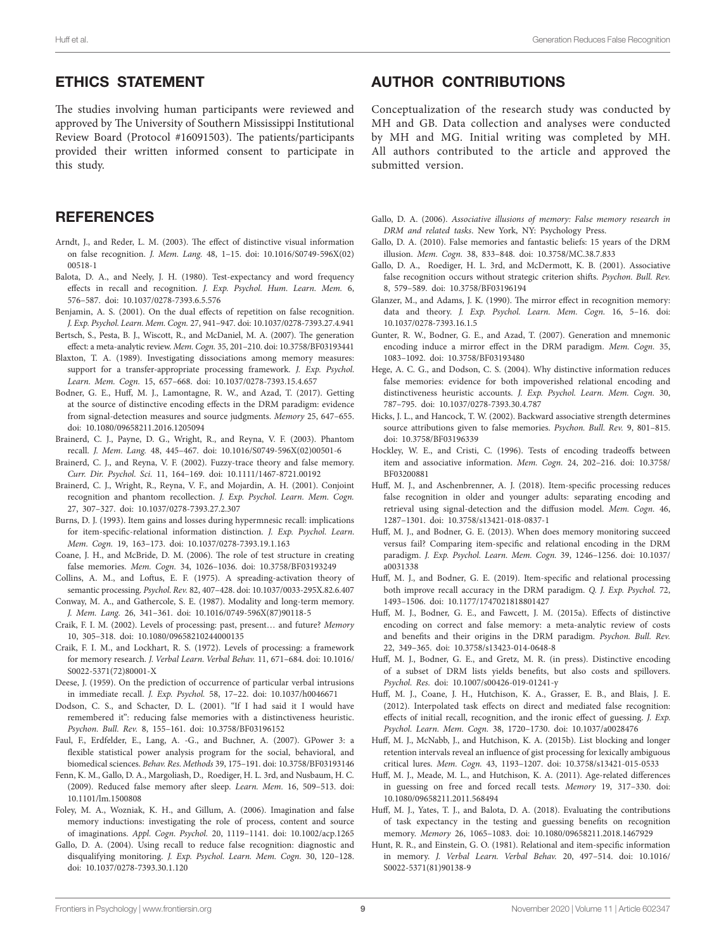# ETHICS STATEMENT

The studies involving human participants were reviewed and approved by The University of Southern Mississippi Institutional Review Board (Protocol #16091503). The patients/participants provided their written informed consent to participate in this study.

# **REFERENCES**

- <span id="page-8-18"></span>Arndt, J., and Reder, L. M. (2003). The effect of distinctive visual information on false recognition. *J. Mem. Lang.* 48, 1–15. doi: [10.1016/S0749-596X\(02\)](https://doi.org/10.1016/S0749-596X(02)00518-1) [00518-1](https://doi.org/10.1016/S0749-596X(02)00518-1)
- <span id="page-8-30"></span>Balota, D. A., and Neely, J. H. (1980). Test-expectancy and word frequency effects in recall and recognition. *J. Exp. Psychol. Hum. Learn. Mem.* 6, 576–587. doi: [10.1037/0278-7393.6.5.576](https://doi.org/10.1037/0278-7393.6.5.576)
- <span id="page-8-16"></span>Benjamin, A. S. (2001). On the dual effects of repetition on false recognition. *J. Exp. Psychol. Learn. Mem. Cogn.* 27, 941–947. doi: [10.1037/0278-7393.27.4.941](https://doi.org/10.1037/0278-7393.27.4.941)
- <span id="page-8-3"></span>Bertsch, S., Pesta, B. J., Wiscott, R., and McDaniel, M. A. (2007). The generation effect: a meta-analytic review. *Mem. Cogn.* 35, 201–210. doi: [10.3758/BF03193441](https://doi.org/10.3758/BF03193441)
- <span id="page-8-5"></span>Blaxton, T. A. (1989). Investigating dissociations among memory measures: support for a transfer-appropriate processing framework. *J. Exp. Psychol. Learn. Mem. Cogn.* 15, 657–668. doi: [10.1037/0278-7393.15.4.657](https://doi.org/10.1037/0278-7393.15.4.657)
- <span id="page-8-21"></span>Bodner, G. E., Huff, M. J., Lamontagne, R. W., and Azad, T. (2017). Getting at the source of distinctive encoding effects in the DRM paradigm: evidence from signal-detection measures and source judgments. *Memory* 25, 647–655. doi: [10.1080/09658211.2016.1205094](https://doi.org/10.1080/09658211.2016.1205094)
- <span id="page-8-10"></span>Brainerd, C. J., Payne, D. G., Wright, R., and Reyna, V. F. (2003). Phantom recall. *J. Mem. Lang.* 48, 445–467. doi: [10.1016/S0749-596X\(02\)00501-6](https://doi.org/10.1016/S0749-596X(02)00501-6)
- <span id="page-8-12"></span>Brainerd, C. J., and Reyna, V. F. (2002). Fuzzy-trace theory and false memory. *Curr. Dir. Psychol. Sci.* 11, 164–169. doi: [10.1111/1467-8721.00192](https://doi.org/10.1111/1467-8721.00192)
- <span id="page-8-6"></span>Brainerd, C. J., Wright, R., Reyna, V. F., and Mojardin, A. H. (2001). Conjoint recognition and phantom recollection. *J. Exp. Psychol. Learn. Mem. Cogn.* 27, 307–327. doi: [10.1037/0278-7393.27.2.307](https://doi.org/10.1037/0278-7393.27.2.307)
- <span id="page-8-37"></span>Burns, D. J. (1993). Item gains and losses during hypermnesic recall: implications for item-specific-relational information distinction. *J. Exp. Psychol. Learn. Mem. Cogn.* 19, 163–173. doi: [10.1037/0278-7393.19.1.163](https://doi.org/10.1037/0278-7393.19.1.163)
- <span id="page-8-36"></span>Coane, J. H., and McBride, D. M. (2006). The role of test structure in creating false memories. *Mem. Cogn.* 34, 1026–1036. doi: [10.3758/BF03193249](https://doi.org/10.3758/BF03193249)
- <span id="page-8-13"></span>Collins, A. M., and Loftus, E. F. (1975). A spreading-activation theory of semantic processing. *Psychol. Rev.* 82, 407–428. doi: [10.1037/0033-295X.82.6.407](https://doi.org/10.1037/0033-295X.82.6.407)
- <span id="page-8-4"></span>Conway, M. A., and Gathercole, S. E. (1987). Modality and long-term memory. *J. Mem. Lang.* 26, 341–361. doi: [10.1016/0749-596X\(87\)90118-5](https://doi.org/10.1016/0749-596X(87)90118-5)
- <span id="page-8-1"></span>Craik, F. I. M. (2002). Levels of processing: past, present… and future? *Memory* 10, 305–318. doi: [10.1080/09658210244000135](https://doi.org/10.1080/09658210244000135)
- <span id="page-8-0"></span>Craik, F. I. M., and Lockhart, R. S. (1972). Levels of processing: a framework for memory research. *J. Verbal Learn. Verbal Behav.* 11, 671–684. doi: [10.1016/](https://doi.org/10.1016/S0022-5371(72)80001-X) [S0022-5371\(72\)80001-X](https://doi.org/10.1016/S0022-5371(72)80001-X)
- <span id="page-8-8"></span>Deese, J. (1959). On the prediction of occurrence of particular verbal intrusions in immediate recall. *J. Exp. Psychol.* 58, 17–22. doi: [10.1037/h0046671](https://doi.org/10.1037/h0046671)
- <span id="page-8-9"></span>Dodson, C. S., and Schacter, D. L. (2001). "If I had said it I would have remembered it": reducing false memories with a distinctiveness heuristic. *Psychon. Bull. Rev.* 8, 155–161. doi: [10.3758/BF03196152](https://doi.org/10.3758/BF03196152)
- <span id="page-8-34"></span>Faul, F., Erdfelder, E., Lang, A. -G., and Buchner, A. (2007). GPower 3: a flexible statistical power analysis program for the social, behavioral, and biomedical sciences. *Behav. Res. Methods* 39, 175–191. doi: [10.3758/BF03193146](https://doi.org/10.3758/BF03193146)
- <span id="page-8-35"></span>Fenn, K. M., Gallo, D. A., Margoliash, D., Roediger, H. L. 3rd, and Nusbaum, H. C. (2009). Reduced false memory after sleep. *Learn. Mem.* 16, 509–513. doi: [10.1101/lm.1500808](https://doi.org/10.1101/lm.1500808)
- <span id="page-8-19"></span>Foley, M. A., Wozniak, K. H., and Gillum, A. (2006). Imagination and false memory inductions: investigating the role of process, content and source of imaginations. *Appl. Cogn. Psychol.* 20, 1119–1141. doi: [10.1002/acp.1265](https://doi.org/10.1002/acp.1265)
- <span id="page-8-27"></span>Gallo, D. A. (2004). Using recall to reduce false recognition: diagnostic and disqualifying monitoring. *J. Exp. Psychol. Learn. Mem. Cogn.* 30, 120–128. doi: [10.1037/0278-7393.30.1.120](https://doi.org/10.1037/0278-7393.30.1.120)

# AUTHOR CONTRIBUTIONS

Conceptualization of the research study was conducted by MH and GB. Data collection and analyses were conducted by MH and MG. Initial writing was completed by MH. All authors contributed to the article and approved the submitted version.

- <span id="page-8-11"></span>Gallo, D. A. (2006). *Associative illusions of memory: False memory research in DRM and related tasks*. New York, NY: Psychology Press.
- <span id="page-8-28"></span>Gallo, D. A. (2010). False memories and fantastic beliefs: 15 years of the DRM illusion. *Mem. Cogn.* 38, 833–848. doi: [10.3758/MC.38.7.833](https://doi.org/10.3758/MC.38.7.833)
- <span id="page-8-17"></span>Gallo, D. A., Roediger, H. L. 3rd, and McDermott, K. B. (2001). Associative false recognition occurs without strategic criterion shifts. *Psychon. Bull. Rev.* 8, 579–589. doi: [10.3758/BF03196194](https://doi.org/10.3758/BF03196194)
- <span id="page-8-24"></span>Glanzer, M., and Adams, J. K. (1990). The mirror effect in recognition memory: data and theory. *J. Exp. Psychol. Learn. Mem. Cogn.* 16, 5–16. doi: [10.1037/0278-7393.16.1.5](https://doi.org/10.1037/0278-7393.16.1.5)
- <span id="page-8-20"></span>Gunter, R. W., Bodner, G. E., and Azad, T. (2007). Generation and mnemonic encoding induce a mirror effect in the DRM paradigm. *Mem. Cogn.* 35, 1083–1092. doi: [10.3758/BF03193480](https://doi.org/10.3758/BF03193480)
- <span id="page-8-26"></span>Hege, A. C. G., and Dodson, C. S. (2004). Why distinctive information reduces false memories: evidence for both impoverished relational encoding and distinctiveness heuristic accounts. *J. Exp. Psychol. Learn. Mem. Cogn.* 30, 787–795. doi: [10.1037/0278-7393.30.4.787](https://doi.org/10.1037/0278-7393.30.4.787)
- <span id="page-8-38"></span>Hicks, J. L., and Hancock, T. W. (2002). Backward associative strength determines source attributions given to false memories. *Psychon. Bull. Rev.* 9, 801–815. doi: [10.3758/BF03196339](https://doi.org/10.3758/BF03196339)
- <span id="page-8-25"></span>Hockley, W. E., and Cristi, C. (1996). Tests of encoding tradeoffs between item and associative information. *Mem. Cogn.* 24, 202–216. doi: [10.3758/](https://doi.org/10.3758/BF03200881) [BF03200881](https://doi.org/10.3758/BF03200881)
- <span id="page-8-32"></span>Huff, M. J., and Aschenbrenner, A. J. (2018). Item-specific processing reduces false recognition in older and younger adults: separating encoding and retrieval using signal-detection and the diffusion model. *Mem. Cogn.* 46, 1287–1301. doi: [10.3758/s13421-018-0837-1](https://doi.org/10.3758/s13421-018-0837-1)
- <span id="page-8-22"></span>Huff, M. J., and Bodner, G. E. (2013). When does memory monitoring succeed versus fail? Comparing item-specific and relational encoding in the DRM paradigm. *J. Exp. Psychol. Learn. Mem. Cogn.* 39, 1246–1256. doi: [10.1037/](https://doi.org/10.1037/a0031338) [a0031338](https://doi.org/10.1037/a0031338)
- <span id="page-8-33"></span>Huff, M. J., and Bodner, G. E. (2019). Item-specific and relational processing both improve recall accuracy in the DRM paradigm. *Q. J. Exp. Psychol.* 72, 1493–1506. doi: [10.1177/1747021818801427](https://doi.org/10.1177/1747021818801427)
- <span id="page-8-29"></span>Huff, M. J., Bodner, G. E., and Fawcett, J. M. (2015a). Effects of distinctive encoding on correct and false memory: a meta-analytic review of costs and benefits and their origins in the DRM paradigm. *Psychon. Bull. Rev.* 22, 349–365. doi: [10.3758/s13423-014-0648-8](https://doi.org/10.3758/s13423-014-0648-8)
- <span id="page-8-23"></span>Huff, M. J., Bodner, G. E., and Gretz, M. R. (in press). Distinctive encoding of a subset of DRM lists yields benefits, but also costs and spillovers. *Psychol. Res.* doi: [10.1007/s00426-019-01241-y](https://doi.org/10.1007/s00426-019-01241-y)
- <span id="page-8-14"></span>Huff, M. J., Coane, J. H., Hutchison, K. A., Grasser, E. B., and Blais, J. E. (2012). Interpolated task effects on direct and mediated false recognition: effects of initial recall, recognition, and the ironic effect of guessing. *J. Exp. Psychol. Learn. Mem. Cogn.* 38, 1720–1730. doi: [10.1037/a0028476](https://doi.org/10.1037/a0028476)
- <span id="page-8-15"></span>Huff, M. J., McNabb, J., and Hutchison, K. A. (2015b). List blocking and longer retention intervals reveal an influence of gist processing for lexically ambiguous critical lures. *Mem. Cogn.* 43, 1193–1207. doi: [10.3758/s13421-015-0533](https://doi.org/10.3758/s13421-015-0533)
- <span id="page-8-7"></span>Huff, M. J., Meade, M. L., and Hutchison, K. A. (2011). Age-related differences in guessing on free and forced recall tests. *Memory* 19, 317–330. doi: [10.1080/09658211.2011.568494](https://doi.org/10.1080/09658211.2011.568494)
- <span id="page-8-31"></span>Huff, M. J., Yates, T. J., and Balota, D. A. (2018). Evaluating the contributions of task expectancy in the testing and guessing benefits on recognition memory. *Memory* 26, 1065–1083. doi: [10.1080/09658211.2018.1467929](https://doi.org/10.1080/09658211.2018.1467929)
- <span id="page-8-2"></span>Hunt, R. R., and Einstein, G. O. (1981). Relational and item-specific information in memory. *J. Verbal Learn. Verbal Behav.* 20, 497–514. doi: [10.1016/](https://doi.org/10.1016/S0022-5371(81)90138-9) [S0022-5371\(81\)90138-9](https://doi.org/10.1016/S0022-5371(81)90138-9)